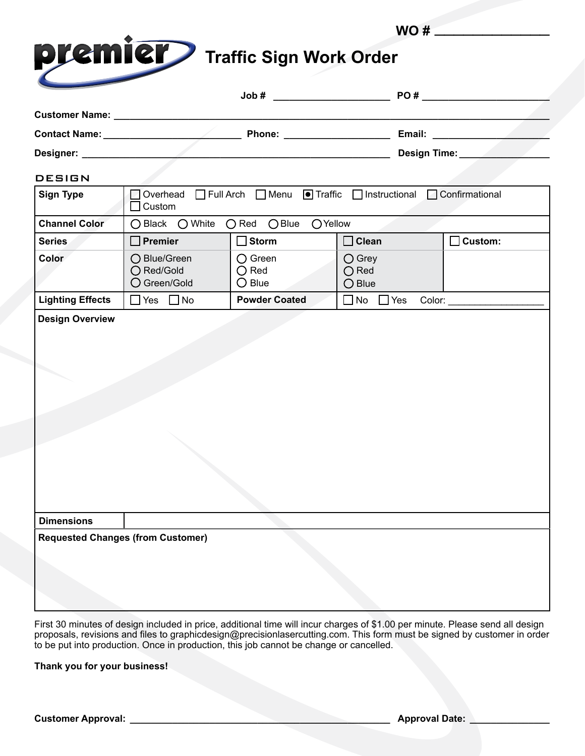|                                        |      | WO#  |  |
|----------------------------------------|------|------|--|
| <b>Dremier</b> Traffic Sign Work Order |      |      |  |
|                                        | Job# | PO # |  |

| Designer: _____                          |                                                                                     |                                                       | Design Time:                                         |                    |
|------------------------------------------|-------------------------------------------------------------------------------------|-------------------------------------------------------|------------------------------------------------------|--------------------|
| <b>DESIGN</b>                            |                                                                                     |                                                       |                                                      |                    |
| <b>Sign Type</b>                         | □ Full Arch □ Menu ■ Traffic □ Instructional □ Confirmational<br>Overhead<br>Custom |                                                       |                                                      |                    |
| <b>Channel Color</b>                     | $\bigcirc$ Black $\bigcirc$ White                                                   | $O$ Red $O$ Blue<br>OYellow                           |                                                      |                    |
| <b>Series</b>                            | $\Box$ Premier                                                                      | $\Box$ Storm                                          | $\Box$ Clean                                         | Custom:            |
| Color                                    | ◯ Blue/Green<br>○ Red/Gold<br>O Green/Gold                                          | $\bigcirc$ Green<br>$\bigcirc$ Red<br>$\bigcirc$ Blue | $\bigcirc$ Grey<br>$\bigcirc$ Red<br>$\bigcirc$ Blue |                    |
| <b>Lighting Effects</b>                  | $\Box$ Yes $\Box$ No                                                                | <b>Powder Coated</b>                                  | $\Box$ No $\Box$ Yes                                 | Color: ___________ |
| <b>Dimensions</b>                        |                                                                                     |                                                       |                                                      |                    |
| <b>Requested Changes (from Customer)</b> |                                                                                     |                                                       |                                                      |                    |
|                                          |                                                                                     |                                                       |                                                      |                    |

First 30 minutes of design included in price, additional time will incur charges of \$1.00 per minute. Please send all design proposals, revisions and files to graphicdesign@precisionlasercutting.com. This form must be signed by customer in order to be put into production. Once in production, this job cannot be change or cancelled.

**Thank you for your business!**